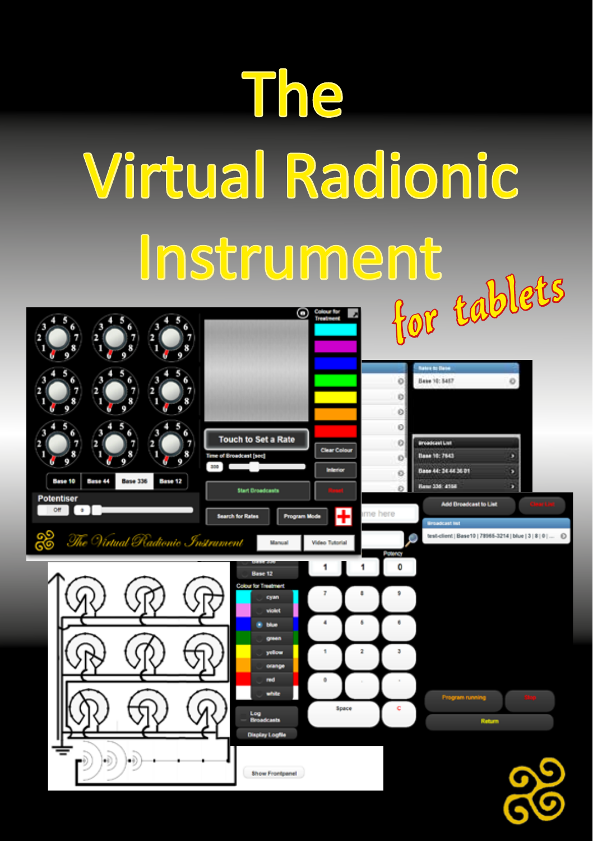# The Virtual Radionic

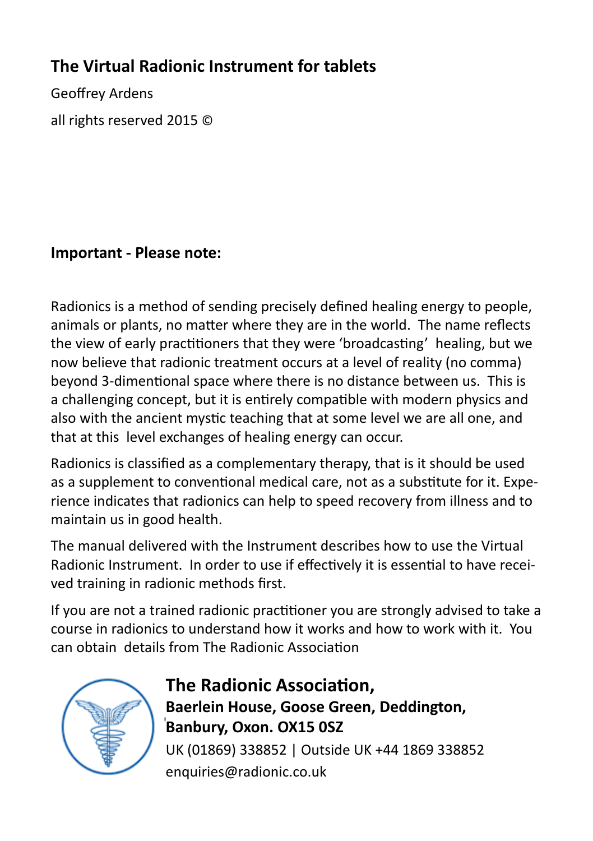#### **The Virtual Radionic Instrument for tablets**

Geoffrey Ardens all rights reserved 2015 ©

#### **Important - Please note:**

Radionics is a method of sending precisely defined healing energy to people, animals or plants, no matter where they are in the world. The name reflects the view of early practitioners that they were 'broadcasting' healing, but we now believe that radionic treatment occurs at a level of reality (no comma) beyond 3-dimentional space where there is no distance between us. This is a challenging concept, but it is entirely compatible with modern physics and also with the ancient mystic teaching that at some level we are all one, and that at this level exchanges of healing energy can occur.

Radionics is classified as a complementary therapy, that is it should be used as a supplement to conventional medical care, not as a substitute for it. Experience indicates that radionics can help to speed recovery from illness and to maintain us in good health.

The manual delivered with the Instrument describes how to use the Virtual Radionic Instrument. In order to use if effectively it is essential to have received training in radionic methods first.

If you are not a trained radionic practitioner you are strongly advised to take a course in radionics to understand how it works and how to work with it. You can obtain details from The Radionic Association



#### **The Radionic Association, Baerlein House, Goose Green, Deddington, Banbury, Oxon. OX15 0SZ** UK (01869) 338852 | Outside UK +44 1869 338852 enquiries@radionic.co.uk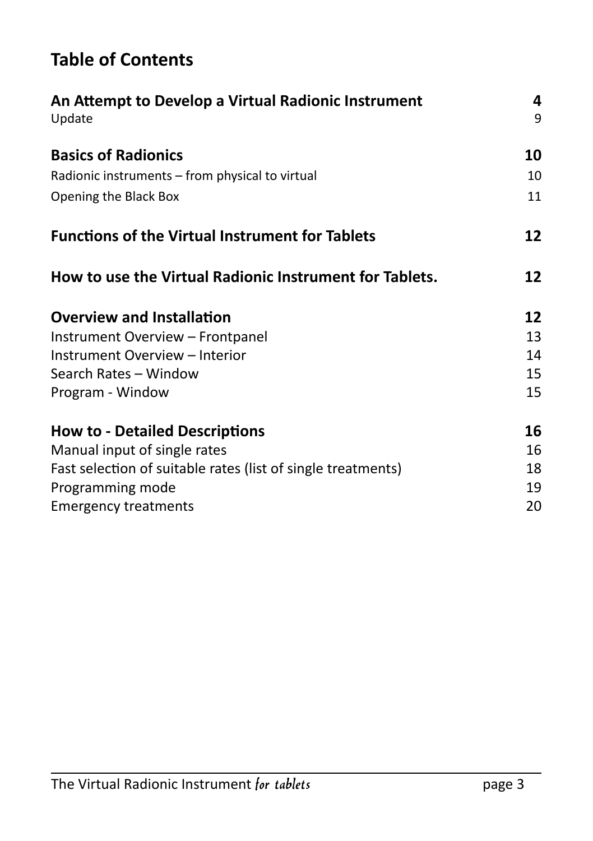#### **Table of Contents**

| An Attempt to Develop a Virtual Radionic Instrument<br>Update |    |  |  |  |
|---------------------------------------------------------------|----|--|--|--|
| <b>Basics of Radionics</b>                                    | 10 |  |  |  |
| Radionic instruments - from physical to virtual               | 10 |  |  |  |
| Opening the Black Box                                         | 11 |  |  |  |
| <b>Functions of the Virtual Instrument for Tablets</b>        |    |  |  |  |
| How to use the Virtual Radionic Instrument for Tablets.       | 12 |  |  |  |
| <b>Overview and Installation</b>                              | 12 |  |  |  |
| Instrument Overview - Frontpanel                              | 13 |  |  |  |
| Instrument Overview - Interior                                | 14 |  |  |  |
| Search Rates - Window                                         | 15 |  |  |  |
| Program - Window                                              | 15 |  |  |  |
| <b>How to - Detailed Descriptions</b>                         | 16 |  |  |  |
| Manual input of single rates                                  | 16 |  |  |  |
| Fast selection of suitable rates (list of single treatments)  | 18 |  |  |  |
| Programming mode                                              | 19 |  |  |  |
| <b>Emergency treatments</b>                                   | 20 |  |  |  |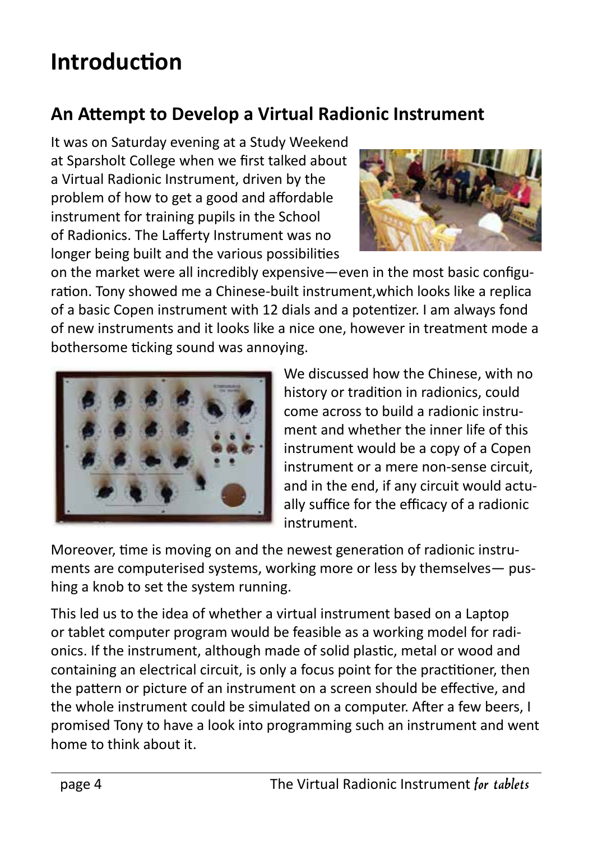### **Introduction**

#### **An Attempt to Develop a Virtual Radionic Instrument**

It was on Saturday evening at a Study Weekend at Sparsholt College when we first talked about a Virtual Radionic Instrument, driven by the problem of how to get a good and affordable instrument for training pupils in the School of Radionics. The Lafferty Instrument was no longer being built and the various possibilities



on the market were all incredibly expensive—even in the most basic configuration. Tony showed me a Chinese-built instrument,which looks like a replica of a basic Copen instrument with 12 dials and a potentizer. I am always fond of new instruments and it looks like a nice one, however in treatment mode a bothersome ticking sound was annoying.



We discussed how the Chinese, with no history or tradition in radionics, could come across to build a radionic instrument and whether the inner life of this instrument would be a copy of a Copen instrument or a mere non-sense circuit, and in the end, if any circuit would actually suffice for the efficacy of a radionic instrument.

Moreover, time is moving on and the newest generation of radionic instruments are computerised systems, working more or less by themselves— pushing a knob to set the system running.

This led us to the idea of whether a virtual instrument based on a Laptop or tablet computer program would be feasible as a working model for radionics. If the instrument, although made of solid plastic, metal or wood and containing an electrical circuit, is only a focus point for the practitioner, then the pattern or picture of an instrument on a screen should be effective, and the whole instrument could be simulated on a computer. After a few beers, I promised Tony to have a look into programming such an instrument and went home to think about it.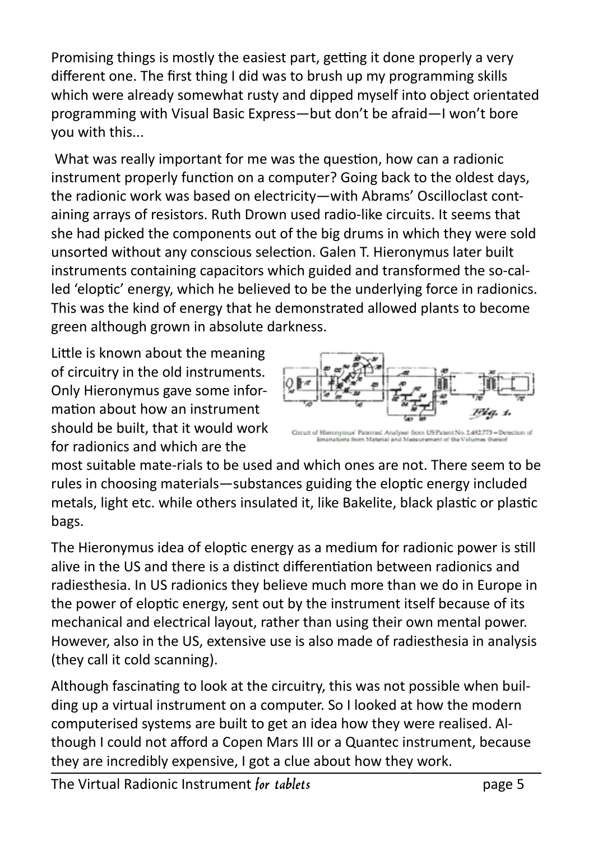Promising things is mostly the easiest part, getting it done properly a very different one. The first thing I did was to brush up my programming skills which were already somewhat rusty and dipped myself into object orientated programming with Visual Basic Express—but don't be afraid—I won't bore you with this...

 What was really important for me was the question, how can a radionic instrument properly function on a computer? Going back to the oldest days, the radionic work was based on electricity—with Abrams' Oscilloclast containing arrays of resistors. Ruth Drown used radio-like circuits. It seems that she had picked the components out of the big drums in which they were sold unsorted without any conscious selection. Galen T. Hieronymus later built instruments containing capacitors which guided and transformed the so-called 'eloptic' energy, which he believed to be the underlying force in radionics. This was the kind of energy that he demonstrated allowed plants to become green although grown in absolute darkness.

Little is known about the meaning of circuitry in the old instruments. Only Hieronymus gave some information about how an instrument should be built, that it would work for radionics and which are the



most suitable mate-rials to be used and which ones are not. There seem to be rules in choosing materials—substances guiding the eloptic energy included metals, light etc. while others insulated it, like Bakelite, black plastic or plastic bags.

The Hieronymus idea of eloptic energy as a medium for radionic power is still alive in the US and there is a distinct differentiation between radionics and radiesthesia. In US radionics they believe much more than we do in Europe in the power of eloptic energy, sent out by the instrument itself because of its mechanical and electrical layout, rather than using their own mental power. However, also in the US, extensive use is also made of radiesthesia in analysis (they call it cold scanning).

Although fascinating to look at the circuitry, this was not possible when building up a virtual instrument on a computer. So I looked at how the modern computerised systems are built to get an idea how they were realised. Although I could not afford a Copen Mars III or a Quantec instrument, because they are incredibly expensive, I got a clue about how they work.

The Virtual Radionic Instrument *for tablets* page 5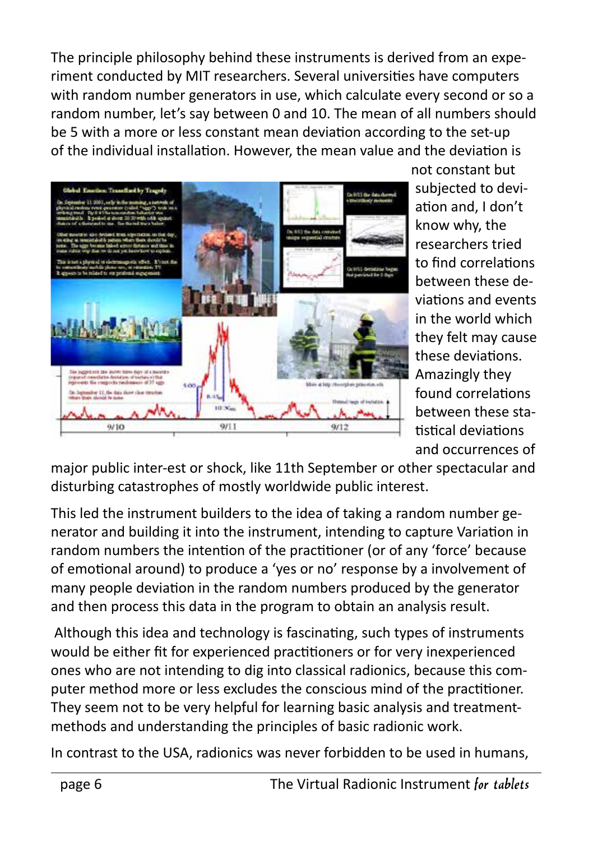The principle philosophy behind these instruments is derived from an experiment conducted by MIT researchers. Several universities have computers with random number generators in use, which calculate every second or so a random number, let's say between 0 and 10. The mean of all numbers should be 5 with a more or less constant mean deviation according to the set-up of the individual installation. However, the mean value and the deviation is



not constant but subjected to deviation and, I don't know why, the researchers tried to find correlations between these deviations and events in the world which they felt may cause these deviations. Amazingly they found correlations between these statistical deviations and occurrences of

major public inter-est or shock, like 11th September or other spectacular and disturbing catastrophes of mostly worldwide public interest.

This led the instrument builders to the idea of taking a random number generator and building it into the instrument, intending to capture Variation in random numbers the intention of the practitioner (or of any 'force' because of emotional around) to produce a 'yes or no' response by a involvement of many people deviation in the random numbers produced by the generator and then process this data in the program to obtain an analysis result.

 Although this idea and technology is fascinating, such types of instruments would be either fit for experienced practitioners or for very inexperienced ones who are not intending to dig into classical radionics, because this computer method more or less excludes the conscious mind of the practitioner. They seem not to be very helpful for learning basic analysis and treatmentmethods and understanding the principles of basic radionic work.

In contrast to the USA, radionics was never forbidden to be used in humans,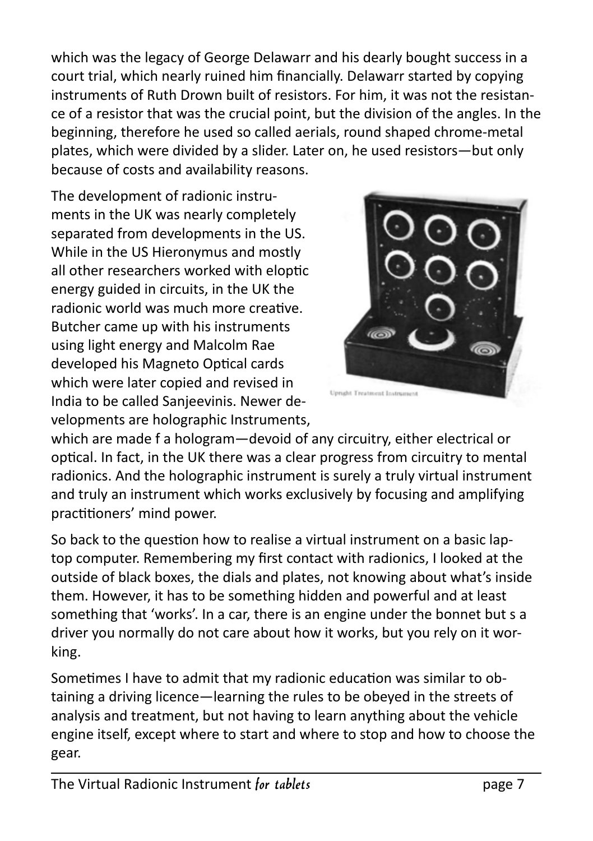which was the legacy of George Delawarr and his dearly bought success in a court trial, which nearly ruined him financially. Delawarr started by copying instruments of Ruth Drown built of resistors. For him, it was not the resistance of a resistor that was the crucial point, but the division of the angles. In the beginning, therefore he used so called aerials, round shaped chrome-metal plates, which were divided by a slider. Later on, he used resistors—but only because of costs and availability reasons.

The development of radionic instruments in the UK was nearly completely separated from developments in the US. While in the US Hieronymus and mostly all other researchers worked with eloptic energy guided in circuits, in the UK the radionic world was much more creative. Butcher came up with his instruments using light energy and Malcolm Rae developed his Magneto Optical cards which were later copied and revised in India to be called Sanjeevinis. Newer developments are holographic Instruments,



Upright Treatment Instrument

which are made f a hologram—devoid of any circuitry, either electrical or optical. In fact, in the UK there was a clear progress from circuitry to mental radionics. And the holographic instrument is surely a truly virtual instrument and truly an instrument which works exclusively by focusing and amplifying practitioners' mind power.

So back to the question how to realise a virtual instrument on a basic laptop computer. Remembering my first contact with radionics, I looked at the outside of black boxes, the dials and plates, not knowing about what's inside them. However, it has to be something hidden and powerful and at least something that 'works'. In a car, there is an engine under the bonnet but s a driver you normally do not care about how it works, but you rely on it working.

Sometimes I have to admit that my radionic education was similar to obtaining a driving licence—learning the rules to be obeyed in the streets of analysis and treatment, but not having to learn anything about the vehicle engine itself, except where to start and where to stop and how to choose the gear.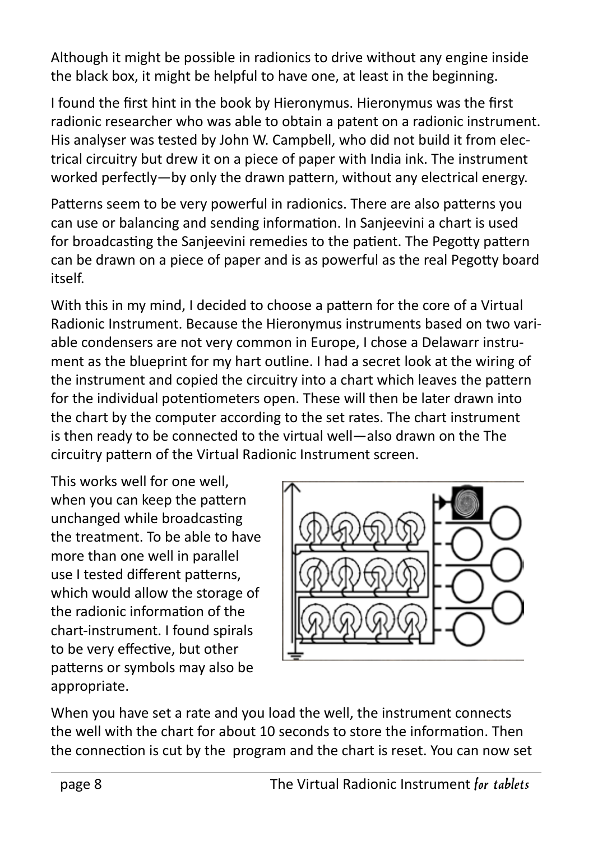Although it might be possible in radionics to drive without any engine inside the black box, it might be helpful to have one, at least in the beginning.

I found the first hint in the book by Hieronymus. Hieronymus was the first radionic researcher who was able to obtain a patent on a radionic instrument. His analyser was tested by John W. Campbell, who did not build it from electrical circuitry but drew it on a piece of paper with India ink. The instrument worked perfectly—by only the drawn pattern, without any electrical energy.

Patterns seem to be very powerful in radionics. There are also patterns you can use or balancing and sending information. In Sanjeevini a chart is used for broadcasting the Sanjeevini remedies to the patient. The Pegotty pattern can be drawn on a piece of paper and is as powerful as the real Pegotty board itself.

With this in my mind, I decided to choose a pattern for the core of a Virtual Radionic Instrument. Because the Hieronymus instruments based on two variable condensers are not very common in Europe, I chose a Delawarr instrument as the blueprint for my hart outline. I had a secret look at the wiring of the instrument and copied the circuitry into a chart which leaves the pattern for the individual potentiometers open. These will then be later drawn into the chart by the computer according to the set rates. The chart instrument is then ready to be connected to the virtual well—also drawn on the The circuitry pattern of the Virtual Radionic Instrument screen.

This works well for one well, when you can keep the pattern unchanged while broadcasting the treatment. To be able to have more than one well in parallel use I tested different patterns, which would allow the storage of the radionic information of the chart-instrument. I found spirals to be very effective, but other patterns or symbols may also be appropriate.



When you have set a rate and you load the well, the instrument connects the well with the chart for about 10 seconds to store the information. Then the connection is cut by the program and the chart is reset. You can now set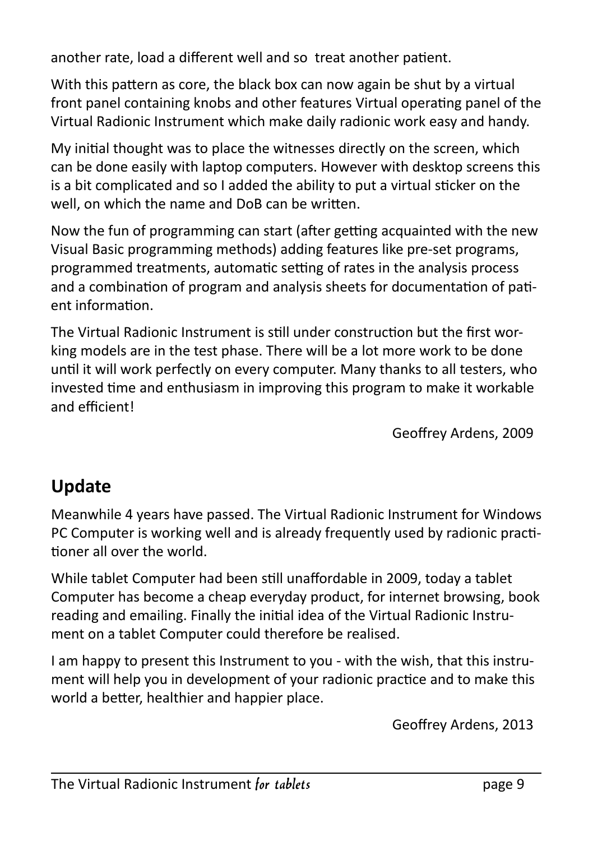another rate, load a different well and so treat another patient.

With this pattern as core, the black box can now again be shut by a virtual front panel containing knobs and other features Virtual operating panel of the Virtual Radionic Instrument which make daily radionic work easy and handy.

My initial thought was to place the witnesses directly on the screen, which can be done easily with laptop computers. However with desktop screens this is a bit complicated and so I added the ability to put a virtual sticker on the well, on which the name and DoB can be written.

Now the fun of programming can start (after getting acquainted with the new Visual Basic programming methods) adding features like pre-set programs, programmed treatments, automatic setting of rates in the analysis process and a combination of program and analysis sheets for documentation of patient information.

The Virtual Radionic Instrument is still under construction but the first working models are in the test phase. There will be a lot more work to be done until it will work perfectly on every computer. Many thanks to all testers, who invested time and enthusiasm in improving this program to make it workable and efficient!

Geoffrey Ardens, 2009

#### **Update**

Meanwhile 4 years have passed. The Virtual Radionic Instrument for Windows PC Computer is working well and is already frequently used by radionic practitioner all over the world.

While tablet Computer had been still unaffordable in 2009, today a tablet Computer has become a cheap everyday product, for internet browsing, book reading and emailing. Finally the initial idea of the Virtual Radionic Instrument on a tablet Computer could therefore be realised.

I am happy to present this Instrument to you - with the wish, that this instrument will help you in development of your radionic practice and to make this world a better, healthier and happier place.

Geoffrey Ardens, 2013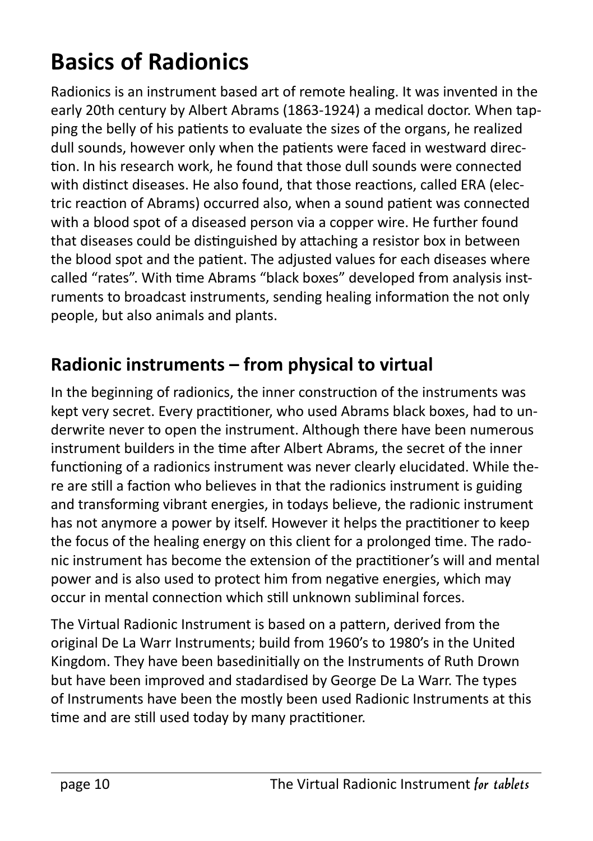## **Basics of Radionics**

Radionics is an instrument based art of remote healing. It was invented in the early 20th century by Albert Abrams (1863-1924) a medical doctor. When tapping the belly of his patients to evaluate the sizes of the organs, he realized dull sounds, however only when the patients were faced in westward direction. In his research work, he found that those dull sounds were connected with distinct diseases. He also found, that those reactions, called ERA (electric reaction of Abrams) occurred also, when a sound patient was connected with a blood spot of a diseased person via a copper wire. He further found that diseases could be distinguished by attaching a resistor box in between the blood spot and the patient. The adjusted values for each diseases where called "rates". With time Abrams "black boxes" developed from analysis instruments to broadcast instruments, sending healing information the not only people, but also animals and plants.

#### **Radionic instruments – from physical to virtual**

In the beginning of radionics, the inner construction of the instruments was kept very secret. Every practitioner, who used Abrams black boxes, had to underwrite never to open the instrument. Although there have been numerous instrument builders in the time after Albert Abrams, the secret of the inner functioning of a radionics instrument was never clearly elucidated. While there are still a faction who believes in that the radionics instrument is guiding and transforming vibrant energies, in todays believe, the radionic instrument has not anymore a power by itself. However it helps the practitioner to keep the focus of the healing energy on this client for a prolonged time. The radonic instrument has become the extension of the practitioner's will and mental power and is also used to protect him from negative energies, which may occur in mental connection which still unknown subliminal forces.

The Virtual Radionic Instrument is based on a pattern, derived from the original De La Warr Instruments; build from 1960's to 1980's in the United Kingdom. They have been basedinitially on the Instruments of Ruth Drown but have been improved and stadardised by George De La Warr. The types of Instruments have been the mostly been used Radionic Instruments at this time and are still used today by many practitioner.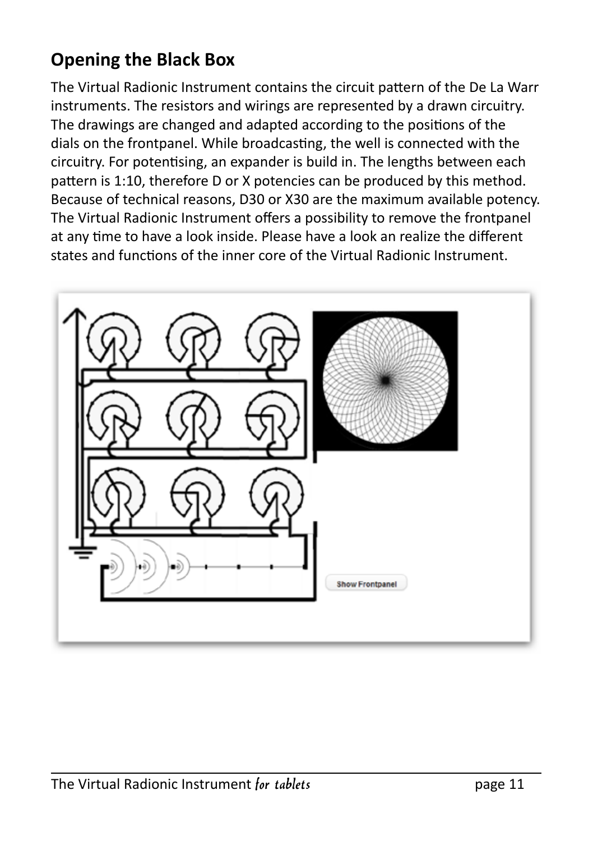#### **Opening the Black Box**

The Virtual Radionic Instrument contains the circuit pattern of the De La Warr instruments. The resistors and wirings are represented by a drawn circuitry. The drawings are changed and adapted according to the positions of the dials on the frontpanel. While broadcasting, the well is connected with the circuitry. For potentising, an expander is build in. The lengths between each pattern is 1:10, therefore D or X potencies can be produced by this method. Because of technical reasons, D30 or X30 are the maximum available potency. The Virtual Radionic Instrument offers a possibility to remove the frontpanel at any time to have a look inside. Please have a look an realize the different states and functions of the inner core of the Virtual Radionic Instrument.

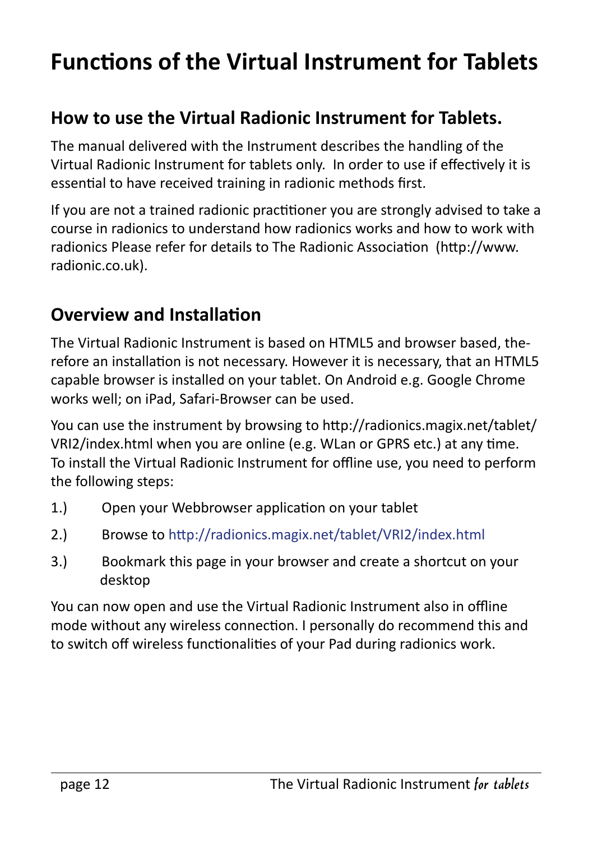## **Functions of the Virtual Instrument for Tablets**

#### **How to use the Virtual Radionic Instrument for Tablets.**

The manual delivered with the Instrument describes the handling of the Virtual Radionic Instrument for tablets only. In order to use if effectively it is essential to have received training in radionic methods first.

If you are not a trained radionic practitioner you are strongly advised to take a course in radionics to understand how radionics works and how to work with radionics Please refer for details to The Radionic Association (http://www. radionic.co.uk).

#### **Overview and Installation**

The Virtual Radionic Instrument is based on HTML5 and browser based, therefore an installation is not necessary. However it is necessary, that an HTML5 capable browser is installed on your tablet. On Android e.g. Google Chrome works well; on iPad, Safari-Browser can be used.

You can use the instrument by browsing to http://radionics.magix.net/tablet/ VRI2/index.html when you are online (e.g. WLan or GPRS etc.) at any time. To install the Virtual Radionic Instrument for offline use, you need to perform the following steps:

- 1.) Open your Webbrowser application on your tablet
- 2.) Browse to http://radionics.magix.net/tablet/VRI2/index.html
- 3.) Bookmark this page in your browser and create a shortcut on your desktop

You can now open and use the Virtual Radionic Instrument also in offline mode without any wireless connection. I personally do recommend this and to switch off wireless functionalities of your Pad during radionics work.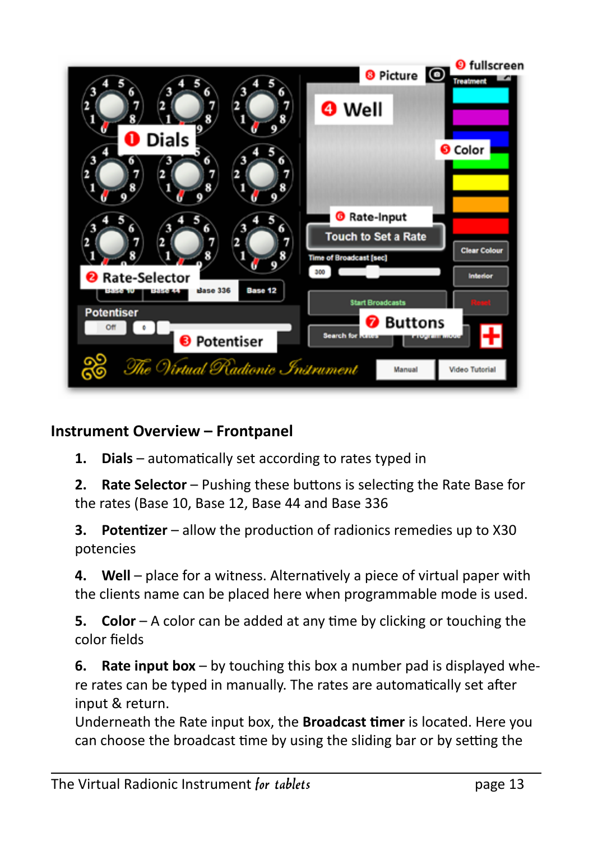

#### **Instrument Overview – Frontpanel**

**1. Dials** – automatically set according to rates typed in

**2. Rate Selector** – Pushing these buttons is selecting the Rate Base for the rates (Base 10, Base 12, Base 44 and Base 336

**3. Potentizer** – allow the production of radionics remedies up to X30 potencies

**4. Well** – place for a witness. Alternatively a piece of virtual paper with the clients name can be placed here when programmable mode is used.

**5. Color** – A color can be added at any time by clicking or touching the color fields

**6. Rate input box** – by touching this box a number pad is displayed where rates can be typed in manually. The rates are automatically set after input & return.

Underneath the Rate input box, the **Broadcast timer** is located. Here you can choose the broadcast time by using the sliding bar or by setting the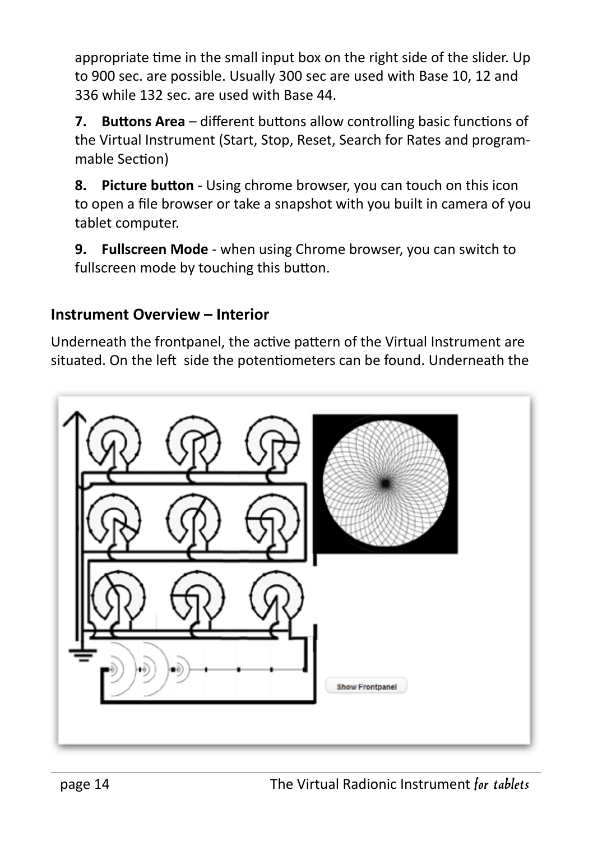appropriate time in the small input box on the right side of the slider. Up to 900 sec. are possible. Usually 300 sec are used with Base 10, 12 and 336 while 132 sec. are used with Base 44.

**7. Buttons Area** – different buttons allow controlling basic functions of the Virtual Instrument (Start, Stop, Reset, Search for Rates and programmable Section)

**8. Picture button** - Using chrome browser, you can touch on this icon to open a file browser or take a snapshot with you built in camera of you tablet computer.

**9. Fullscreen Mode** - when using Chrome browser, you can switch to fullscreen mode by touching this button.

#### **Instrument Overview – Interior**

Underneath the frontpanel, the active pattern of the Virtual Instrument are situated. On the left side the potentiometers can be found. Underneath the

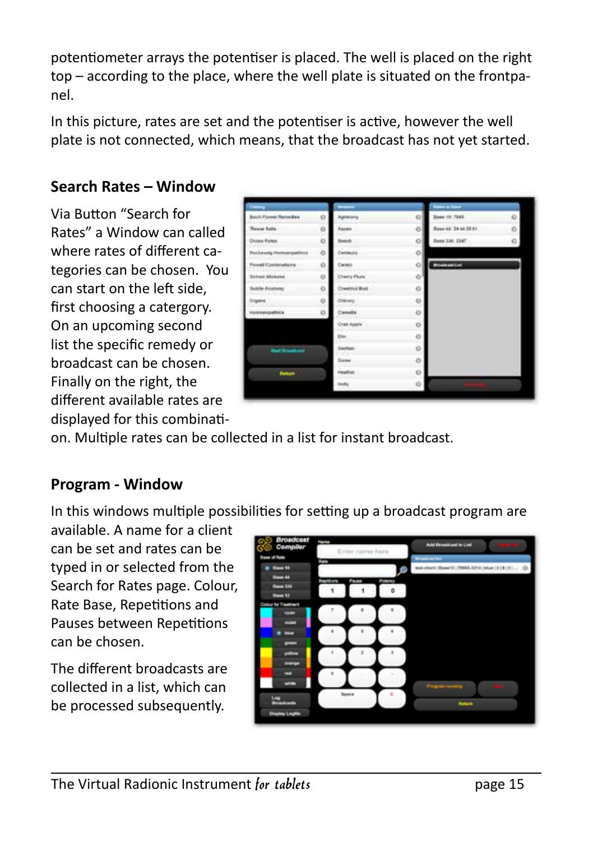potentiometer arrays the potentiser is placed. The well is placed on the right top – according to the place, where the well plate is situated on the frontpanel.

In this picture, rates are set and the potentiser is active, however the well plate is not connected, which means, that the broadcast has not yet started.

#### **Search Rates – Window**

Via Button "Search for Rates" a Window can called where rates of different categories can be chosen. You can start on the left side, first choosing a catergory. On an upcoming second list the specific remedy or broadcast can be chosen. Finally on the right, the different available rates are displayed for this combinati-

|                               |        |                 |    | <b>Rates on House</b> |         |
|-------------------------------|--------|-----------------|----|-----------------------|---------|
| Back Flower Netwidson         | o      | Apóthiana       | o  | Dave 19.7983          | $\circ$ |
| <b>Theway Builty</b>          | o      | Ascan           | o  | Base 44, 24 at 29 et  | O       |
| <b>Divine Rates</b><br>134200 | o<br>w | <b>Bosell</b>   | o  | Base 336: 2247        | O       |
| <b>Reckeway Homoeipethics</b> | ۰      | Centeury        | O. |                       |         |
| Pewel Combinations :          | o      | Cerato.         | o  | <b>Broadcast List</b> |         |
| <b>Schen McGreek</b>          | ió.    | Chery Plure     | o  |                       |         |
| Baltite Aviationy             | o      | Direttut Bol    | o  |                       |         |
| <b>gans</b>                   | o      | Cierary         | o  |                       |         |
| <b>Kolnbeigelfüge</b>         | ø      | Consts          | O  |                       |         |
|                               |        | Cratt Apple     | o  |                       |         |
|                               |        | Ein             | o  |                       |         |
| <b>Black Edmonton and</b>     |        | <b>Gentlan</b>  | o  |                       |         |
|                               |        | <b>Cores</b>    | O  |                       |         |
| <b>Hallan</b>                 |        | <b>Heatfoot</b> | o  |                       |         |
|                               |        | tauty           | o  |                       |         |

on. Multiple rates can be collected in a list for instant broadcast.

#### **Program - Window**

In this windows multiple possibilities for setting up a broadcast program are

available. A name for a client can be set and rates can be typed in or selected from the Search for Rates page. Colour, Rate Base, Repetitions and Pauses between Repetitions can be chosen.

The different broadcasts are collected in a list, which can be processed subsequently.

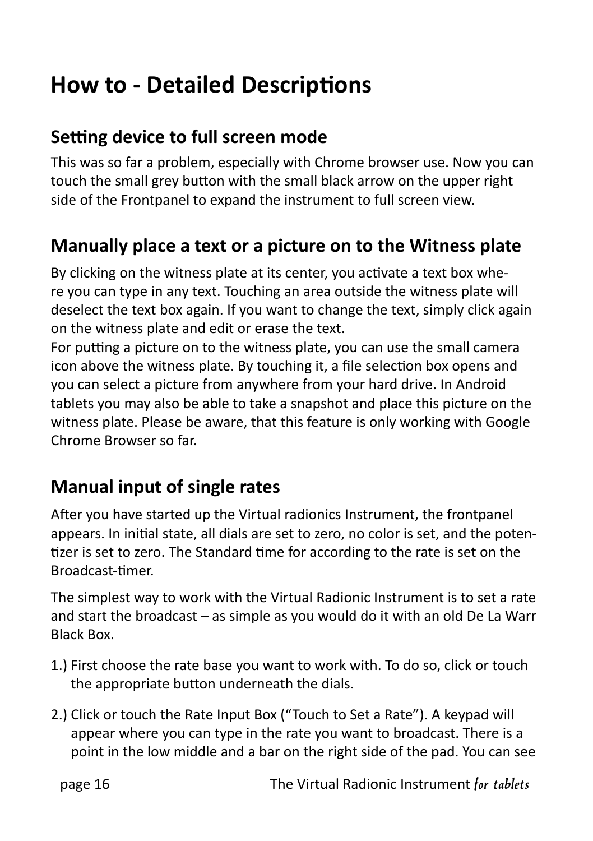## **How to - Detailed Descriptions**

#### **Setting device to full screen mode**

This was so far a problem, especially with Chrome browser use. Now you can touch the small grey button with the small black arrow on the upper right side of the Frontpanel to expand the instrument to full screen view.

#### **Manually place a text or a picture on to the Witness plate**

By clicking on the witness plate at its center, you activate a text box where you can type in any text. Touching an area outside the witness plate will deselect the text box again. If you want to change the text, simply click again on the witness plate and edit or erase the text.

For putting a picture on to the witness plate, you can use the small camera icon above the witness plate. By touching it, a file selection box opens and you can select a picture from anywhere from your hard drive. In Android tablets you may also be able to take a snapshot and place this picture on the witness plate. Please be aware, that this feature is only working with Google Chrome Browser so far.

#### **Manual input of single rates**

After you have started up the Virtual radionics Instrument, the frontpanel appears. In initial state, all dials are set to zero, no color is set, and the potentizer is set to zero. The Standard time for according to the rate is set on the Broadcast-timer.

The simplest way to work with the Virtual Radionic Instrument is to set a rate and start the broadcast – as simple as you would do it with an old De La Warr Black Box.

- 1.) First choose the rate base you want to work with. To do so, click or touch the appropriate button underneath the dials.
- 2.) Click or touch the Rate Input Box ("Touch to Set a Rate"). A keypad will appear where you can type in the rate you want to broadcast. There is a point in the low middle and a bar on the right side of the pad. You can see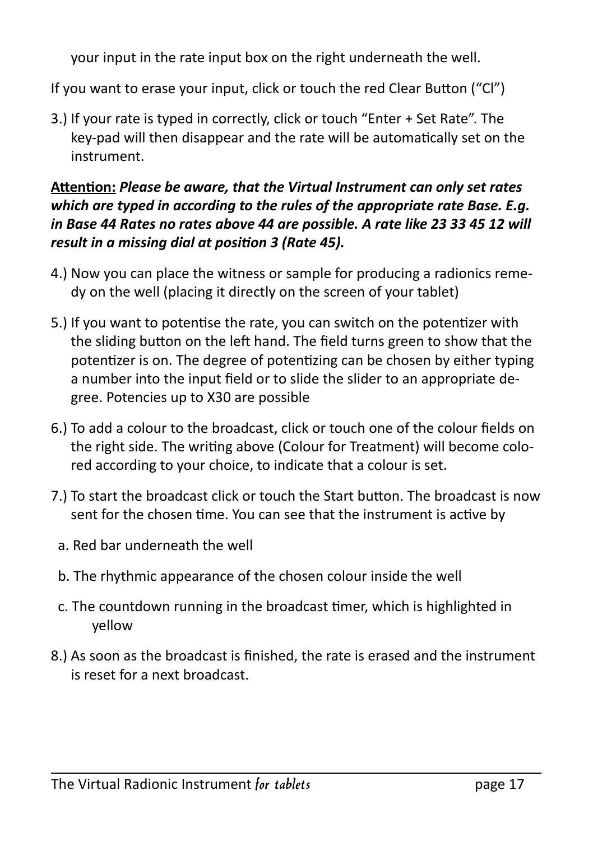your input in the rate input box on the right underneath the well.

If you want to erase your input, click or touch the red Clear Button ("Cl")

3.) If your rate is typed in correctly, click or touch "Enter + Set Rate". The key-pad will then disappear and the rate will be automatically set on the instrument.

#### **Attention:** *Please be aware, that the Virtual Instrument can only set rates which are typed in according to the rules of the appropriate rate Base. E.g. in Base 44 Rates no rates above 44 are possible. A rate like 23 33 45 12 will result in a missing dial at position 3 (Rate 45).*

- 4.) Now you can place the witness or sample for producing a radionics remedy on the well (placing it directly on the screen of your tablet)
- 5.) If you want to potentise the rate, you can switch on the potentizer with the sliding button on the left hand. The field turns green to show that the potentizer is on. The degree of potentizing can be chosen by either typing a number into the input field or to slide the slider to an appropriate degree. Potencies up to X30 are possible
- 6.) To add a colour to the broadcast, click or touch one of the colour fields on the right side. The writing above (Colour for Treatment) will become colored according to your choice, to indicate that a colour is set.
- 7.) To start the broadcast click or touch the Start button. The broadcast is now sent for the chosen time. You can see that the instrument is active by
	- a. Red bar underneath the well
- b. The rhythmic appearance of the chosen colour inside the well
- c. The countdown running in the broadcast timer, which is highlighted in yellow
- 8.) As soon as the broadcast is finished, the rate is erased and the instrument is reset for a next broadcast.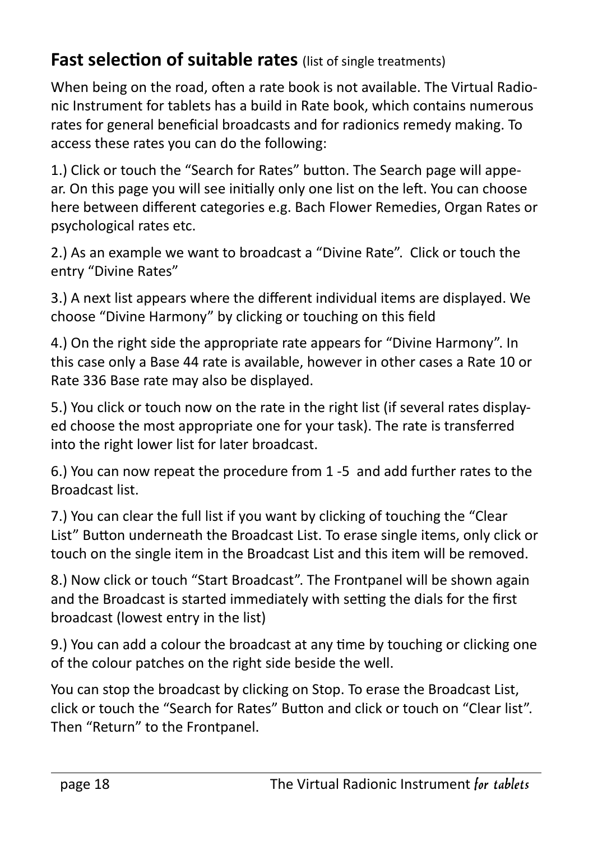#### **Fast selection of suitable rates** (list of single treatments)

When being on the road, often a rate book is not available. The Virtual Radionic Instrument for tablets has a build in Rate book, which contains numerous rates for general beneficial broadcasts and for radionics remedy making. To access these rates you can do the following:

1.) Click or touch the "Search for Rates" button. The Search page will appear. On this page you will see initially only one list on the left. You can choose here between different categories e.g. Bach Flower Remedies, Organ Rates or psychological rates etc.

2.) As an example we want to broadcast a "Divine Rate". Click or touch the entry "Divine Rates"

3.) A next list appears where the different individual items are displayed. We choose "Divine Harmony" by clicking or touching on this field

4.) On the right side the appropriate rate appears for "Divine Harmony". In this case only a Base 44 rate is available, however in other cases a Rate 10 or Rate 336 Base rate may also be displayed.

5.) You click or touch now on the rate in the right list (if several rates displayed choose the most appropriate one for your task). The rate is transferred into the right lower list for later broadcast.

6.) You can now repeat the procedure from 1 -5 and add further rates to the Broadcast list.

7.) You can clear the full list if you want by clicking of touching the "Clear List" Button underneath the Broadcast List. To erase single items, only click or touch on the single item in the Broadcast List and this item will be removed.

8.) Now click or touch "Start Broadcast". The Frontpanel will be shown again and the Broadcast is started immediately with setting the dials for the first broadcast (lowest entry in the list)

9.) You can add a colour the broadcast at any time by touching or clicking one of the colour patches on the right side beside the well.

You can stop the broadcast by clicking on Stop. To erase the Broadcast List, click or touch the "Search for Rates" Button and click or touch on "Clear list". Then "Return" to the Frontpanel.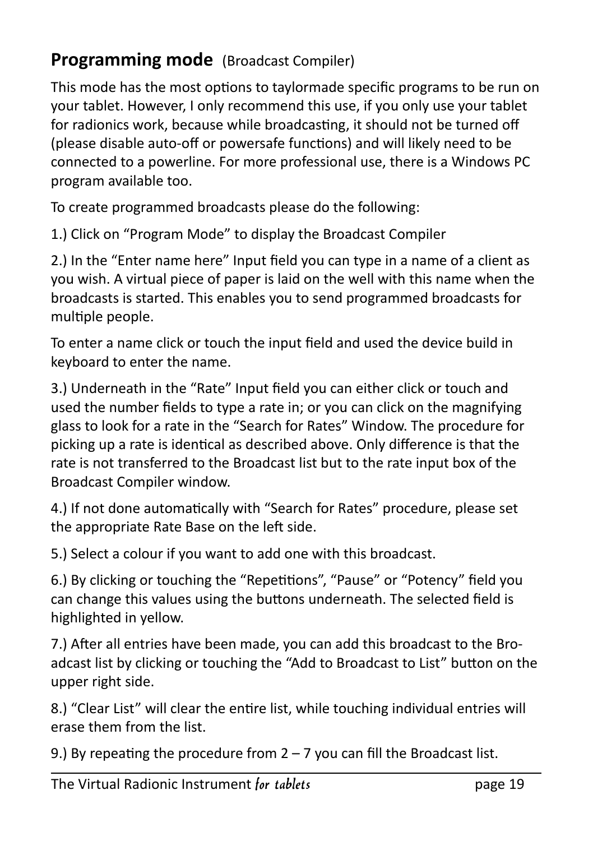#### **Programming mode** (Broadcast Compiler)

This mode has the most options to taylormade specific programs to be run on your tablet. However, I only recommend this use, if you only use your tablet for radionics work, because while broadcasting, it should not be turned off (please disable auto-off or powersafe functions) and will likely need to be connected to a powerline. For more professional use, there is a Windows PC program available too.

To create programmed broadcasts please do the following:

1.) Click on "Program Mode" to display the Broadcast Compiler

2.) In the "Enter name here" Input field you can type in a name of a client as you wish. A virtual piece of paper is laid on the well with this name when the broadcasts is started. This enables you to send programmed broadcasts for multiple people.

To enter a name click or touch the input field and used the device build in keyboard to enter the name.

3.) Underneath in the "Rate" Input field you can either click or touch and used the number fields to type a rate in; or you can click on the magnifying glass to look for a rate in the "Search for Rates" Window. The procedure for picking up a rate is identical as described above. Only difference is that the rate is not transferred to the Broadcast list but to the rate input box of the Broadcast Compiler window.

4.) If not done automatically with "Search for Rates" procedure, please set the appropriate Rate Base on the left side.

5.) Select a colour if you want to add one with this broadcast.

6.) By clicking or touching the "Repetitions", "Pause" or "Potency" field you can change this values using the buttons underneath. The selected field is highlighted in yellow.

7.) After all entries have been made, you can add this broadcast to the Broadcast list by clicking or touching the "Add to Broadcast to List" button on the upper right side.

8.) "Clear List" will clear the entire list, while touching individual entries will erase them from the list.

9.) By repeating the procedure from  $2 - 7$  you can fill the Broadcast list.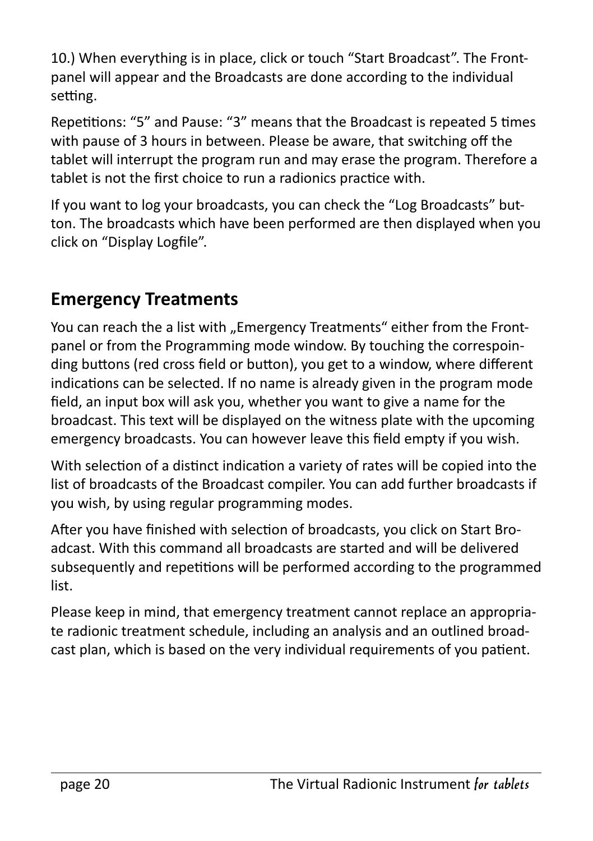10.) When everything is in place, click or touch "Start Broadcast". The Frontpanel will appear and the Broadcasts are done according to the individual setting.

Repetitions: "5" and Pause: "3" means that the Broadcast is repeated 5 times with pause of 3 hours in between. Please be aware, that switching off the tablet will interrupt the program run and may erase the program. Therefore a tablet is not the first choice to run a radionics practice with.

If you want to log your broadcasts, you can check the "Log Broadcasts" button. The broadcasts which have been performed are then displayed when you click on "Display Logfile".

#### **Emergency Treatments**

You can reach the a list with "Emergency Treatments" either from the Frontpanel or from the Programming mode window. By touching the correspoinding buttons (red cross field or button), you get to a window, where different indications can be selected. If no name is already given in the program mode field, an input box will ask you, whether you want to give a name for the broadcast. This text will be displayed on the witness plate with the upcoming emergency broadcasts. You can however leave this field empty if you wish.

With selection of a distinct indication a variety of rates will be copied into the list of broadcasts of the Broadcast compiler. You can add further broadcasts if you wish, by using regular programming modes.

After you have finished with selection of broadcasts, you click on Start Broadcast. With this command all broadcasts are started and will be delivered subsequently and repetitions will be performed according to the programmed list.

Please keep in mind, that emergency treatment cannot replace an appropriate radionic treatment schedule, including an analysis and an outlined broadcast plan, which is based on the very individual requirements of you patient.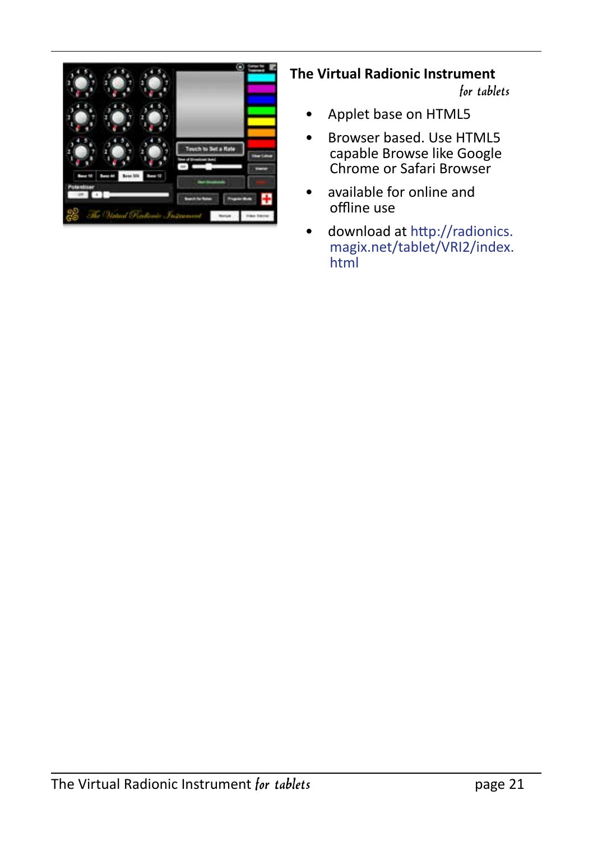

#### **The Virtual Radionic Instrument**

for tablets

- Applet base on HTML5
- Browser based. Use HTML5 capable Browse like Google Chrome or Safari Browser
- available for online and offline use
- download at http://radionics. magix.net/tablet/VRI2/index. html